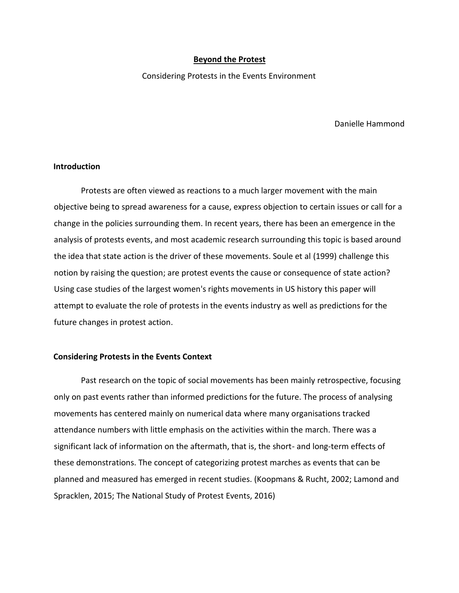### **Beyond the Protest**

Considering Protests in the Events Environment

Danielle Hammond

# **Introduction**

Protests are often viewed as reactions to a much larger movement with the main objective being to spread awareness for a cause, express objection to certain issues or call for a change in the policies surrounding them. In recent years, there has been an emergence in the analysis of protests events, and most academic research surrounding this topic is based around the idea that state action is the driver of these movements. Soule et al (1999) challenge this notion by raising the question; are protest events the cause or consequence of state action? Using case studies of the largest women's rights movements in US history this paper will attempt to evaluate the role of protests in the events industry as well as predictions for the future changes in protest action.

# **Considering Protests in the Events Context**

Past research on the topic of social movements has been mainly retrospective, focusing only on past events rather than informed predictions for the future. The process of analysing movements has centered mainly on numerical data where many organisations tracked attendance numbers with little emphasis on the activities within the march. There was a significant lack of information on the aftermath, that is, the short- and long-term effects of these demonstrations. The concept of categorizing protest marches as events that can be planned and measured has emerged in recent studies. (Koopmans & Rucht, 2002; Lamond and Spracklen, 2015; The National Study of Protest Events, 2016)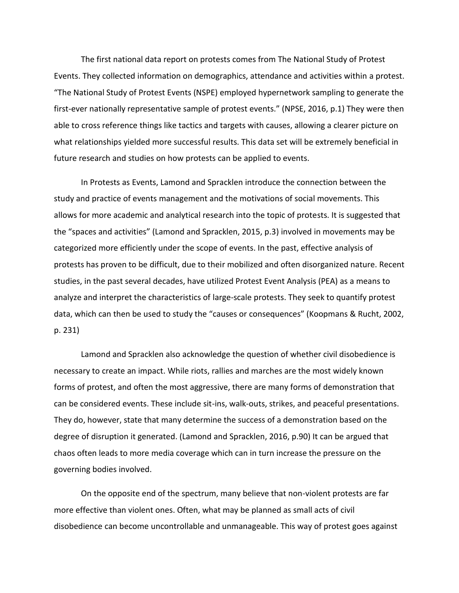The first national data report on protests comes from The National Study of Protest Events. They collected information on demographics, attendance and activities within a protest. "The National Study of Protest Events (NSPE) employed hypernetwork sampling to generate the first-ever nationally representative sample of protest events." (NPSE, 2016, p.1) They were then able to cross reference things like tactics and targets with causes, allowing a clearer picture on what relationships yielded more successful results. This data set will be extremely beneficial in future research and studies on how protests can be applied to events.

In Protests as Events, Lamond and Spracklen introduce the connection between the study and practice of events management and the motivations of social movements. This allows for more academic and analytical research into the topic of protests. It is suggested that the "spaces and activities" (Lamond and Spracklen, 2015, p.3) involved in movements may be categorized more efficiently under the scope of events. In the past, effective analysis of protests has proven to be difficult, due to their mobilized and often disorganized nature. Recent studies, in the past several decades, have utilized Protest Event Analysis (PEA) as a means to analyze and interpret the characteristics of large-scale protests. They seek to quantify protest data, which can then be used to study the "causes or consequences" (Koopmans & Rucht, 2002, p. 231)

Lamond and Spracklen also acknowledge the question of whether civil disobedience is necessary to create an impact. While riots, rallies and marches are the most widely known forms of protest, and often the most aggressive, there are many forms of demonstration that can be considered events. These include sit-ins, walk-outs, strikes, and peaceful presentations. They do, however, state that many determine the success of a demonstration based on the degree of disruption it generated. (Lamond and Spracklen, 2016, p.90) It can be argued that chaos often leads to more media coverage which can in turn increase the pressure on the governing bodies involved.

On the opposite end of the spectrum, many believe that non-violent protests are far more effective than violent ones. Often, what may be planned as small acts of civil disobedience can become uncontrollable and unmanageable. This way of protest goes against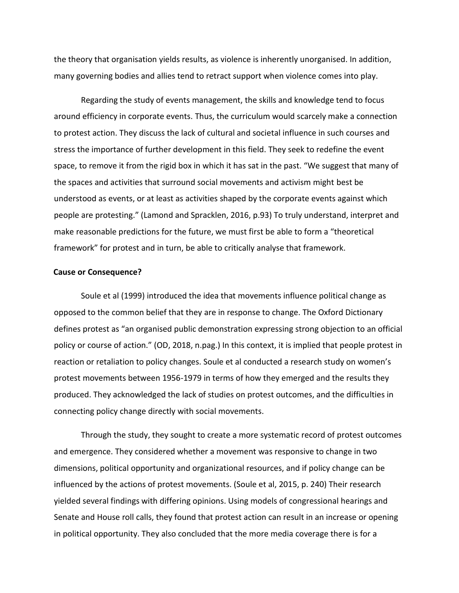the theory that organisation yields results, as violence is inherently unorganised. In addition, many governing bodies and allies tend to retract support when violence comes into play.

Regarding the study of events management, the skills and knowledge tend to focus around efficiency in corporate events. Thus, the curriculum would scarcely make a connection to protest action. They discuss the lack of cultural and societal influence in such courses and stress the importance of further development in this field. They seek to redefine the event space, to remove it from the rigid box in which it has sat in the past. "We suggest that many of the spaces and activities that surround social movements and activism might best be understood as events, or at least as activities shaped by the corporate events against which people are protesting." (Lamond and Spracklen, 2016, p.93) To truly understand, interpret and make reasonable predictions for the future, we must first be able to form a "theoretical framework" for protest and in turn, be able to critically analyse that framework.

#### **Cause or Consequence?**

Soule et al (1999) introduced the idea that movements influence political change as opposed to the common belief that they are in response to change. The Oxford Dictionary defines protest as "an organised public demonstration expressing strong objection to an official policy or course of action." (OD, 2018, n.pag.) In this context, it is implied that people protest in reaction or retaliation to policy changes. Soule et al conducted a research study on women's protest movements between 1956-1979 in terms of how they emerged and the results they produced. They acknowledged the lack of studies on protest outcomes, and the difficulties in connecting policy change directly with social movements.

Through the study, they sought to create a more systematic record of protest outcomes and emergence. They considered whether a movement was responsive to change in two dimensions, political opportunity and organizational resources, and if policy change can be influenced by the actions of protest movements. (Soule et al, 2015, p. 240) Their research yielded several findings with differing opinions. Using models of congressional hearings and Senate and House roll calls, they found that protest action can result in an increase or opening in political opportunity. They also concluded that the more media coverage there is for a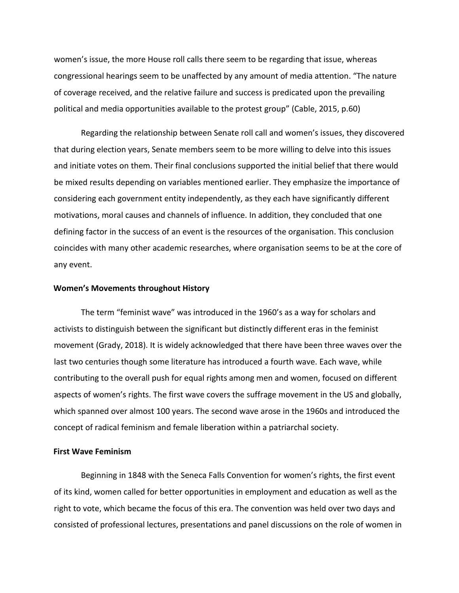women's issue, the more House roll calls there seem to be regarding that issue, whereas congressional hearings seem to be unaffected by any amount of media attention. "The nature of coverage received, and the relative failure and success is predicated upon the prevailing political and media opportunities available to the protest group" (Cable, 2015, p.60)

Regarding the relationship between Senate roll call and women's issues, they discovered that during election years, Senate members seem to be more willing to delve into this issues and initiate votes on them. Their final conclusions supported the initial belief that there would be mixed results depending on variables mentioned earlier. They emphasize the importance of considering each government entity independently, as they each have significantly different motivations, moral causes and channels of influence. In addition, they concluded that one defining factor in the success of an event is the resources of the organisation. This conclusion coincides with many other academic researches, where organisation seems to be at the core of any event.

## **Women's Movements throughout History**

The term "feminist wave" was introduced in the 1960's as a way for scholars and activists to distinguish between the significant but distinctly different eras in the feminist movement (Grady, 2018). It is widely acknowledged that there have been three waves over the last two centuries though some literature has introduced a fourth wave. Each wave, while contributing to the overall push for equal rights among men and women, focused on different aspects of women's rights. The first wave covers the suffrage movement in the US and globally, which spanned over almost 100 years. The second wave arose in the 1960s and introduced the concept of radical feminism and female liberation within a patriarchal society.

### **First Wave Feminism**

Beginning in 1848 with the Seneca Falls Convention for women's rights, the first event of its kind, women called for better opportunities in employment and education as well as the right to vote, which became the focus of this era. The convention was held over two days and consisted of professional lectures, presentations and panel discussions on the role of women in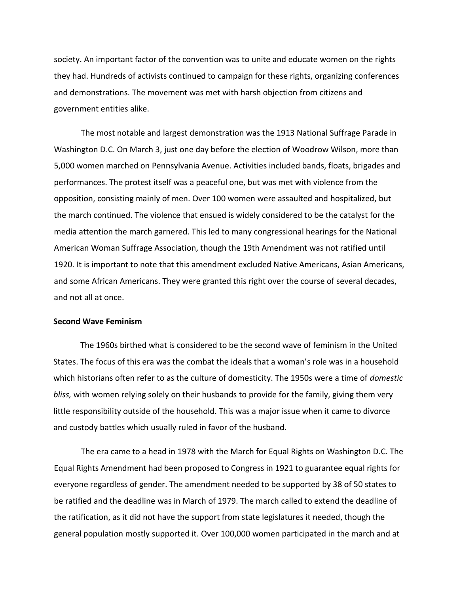society. An important factor of the convention was to unite and educate women on the rights they had. Hundreds of activists continued to campaign for these rights, organizing conferences and demonstrations. The movement was met with harsh objection from citizens and government entities alike.

The most notable and largest demonstration was the 1913 National Suffrage Parade in Washington D.C. On March 3, just one day before the election of Woodrow Wilson, more than 5,000 women marched on Pennsylvania Avenue. Activities included bands, floats, brigades and performances. The protest itself was a peaceful one, but was met with violence from the opposition, consisting mainly of men. Over 100 women were assaulted and hospitalized, but the march continued. The violence that ensued is widely considered to be the catalyst for the media attention the march garnered. This led to many congressional hearings for the National American Woman Suffrage Association, though the 19th Amendment was not ratified until 1920. It is important to note that this amendment excluded Native Americans, Asian Americans, and some African Americans. They were granted this right over the course of several decades, and not all at once.

### **Second Wave Feminism**

The 1960s birthed what is considered to be the second wave of feminism in the United States. The focus of this era was the combat the ideals that a woman's role was in a household which historians often refer to as the culture of domesticity. The 1950s were a time of *domestic bliss,* with women relying solely on their husbands to provide for the family, giving them very little responsibility outside of the household. This was a major issue when it came to divorce and custody battles which usually ruled in favor of the husband.

The era came to a head in 1978 with the March for Equal Rights on Washington D.C. The Equal Rights Amendment had been proposed to Congress in 1921 to guarantee equal rights for everyone regardless of gender. The amendment needed to be supported by 38 of 50 states to be ratified and the deadline was in March of 1979. The march called to extend the deadline of the ratification, as it did not have the support from state legislatures it needed, though the general population mostly supported it. Over 100,000 women participated in the march and at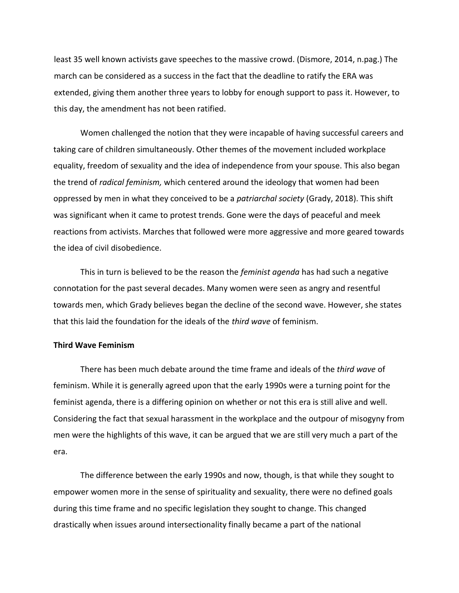least 35 well known activists gave speeches to the massive crowd. (Dismore, 2014, n.pag.) The march can be considered as a success in the fact that the deadline to ratify the ERA was extended, giving them another three years to lobby for enough support to pass it. However, to this day, the amendment has not been ratified.

Women challenged the notion that they were incapable of having successful careers and taking care of children simultaneously. Other themes of the movement included workplace equality, freedom of sexuality and the idea of independence from your spouse. This also began the trend of *radical feminism,* which centered around the ideology that women had been oppressed by men in what they conceived to be a *patriarchal society* (Grady, 2018). This shift was significant when it came to protest trends. Gone were the days of peaceful and meek reactions from activists. Marches that followed were more aggressive and more geared towards the idea of civil disobedience.

This in turn is believed to be the reason the *feminist agenda* has had such a negative connotation for the past several decades. Many women were seen as angry and resentful towards men, which Grady believes began the decline of the second wave. However, she states that this laid the foundation for the ideals of the *third wave* of feminism.

# **Third Wave Feminism**

There has been much debate around the time frame and ideals of the *third wave* of feminism. While it is generally agreed upon that the early 1990s were a turning point for the feminist agenda, there is a differing opinion on whether or not this era is still alive and well. Considering the fact that sexual harassment in the workplace and the outpour of misogyny from men were the highlights of this wave, it can be argued that we are still very much a part of the era.

The difference between the early 1990s and now, though, is that while they sought to empower women more in the sense of spirituality and sexuality, there were no defined goals during this time frame and no specific legislation they sought to change. This changed drastically when issues around intersectionality finally became a part of the national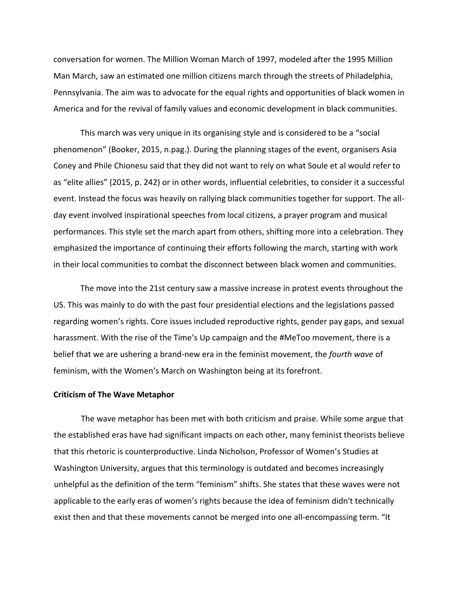conversation for women. The Million Woman March of 1997, modeled after the 1995 Million Man March, saw an estimated one million citizens march through the streets of Philadelphia, Pennsylvania. The aim was to advocate for the equal rights and opportunities of black women in America and for the revival of family values and economic development in black communities.

This march was very unique in its organising style and is considered to be a "social phenomenon" (Booker, 2015, n.pag.). During the planning stages of the event, organisers Asia Coney and Phile Chionesu said that they did not want to rely on what Soule et al would refer to as "elite allies" (2015, p. 242) or in other words, influential celebrities, to consider it a successful event. Instead the focus was heavily on rallying black communities together for support. The allday event involved inspirational speeches from local citizens, a prayer program and musical performances. This style set the march apart from others, shifting more into a celebration. They emphasized the importance of continuing their efforts following the march, starting with work in their local communities to combat the disconnect between black women and communities.

The move into the 21st century saw a massive increase in protest events throughout the US. This was mainly to do with the past four presidential elections and the legislations passed regarding women's rights. Core issues included reproductive rights, gender pay gaps, and sexual harassment. With the rise of the Time's Up campaign and the #MeToo movement, there is a belief that we are ushering a brand-new era in the feminist movement, the *fourth wave* of feminism, with the Women's March on Washington being at its forefront.

## **Criticism of The Wave Metaphor**

The wave metaphor has been met with both criticism and praise. While some argue that the established eras have had significant impacts on each other, many feminist theorists believe that this rhetoric is counterproductive. Linda Nicholson, Professor of Women's Studies at Washington University, argues that this terminology is outdated and becomes increasingly unhelpful as the definition of the term "feminism" shifts. She states that these waves were not applicable to the early eras of women's rights because the idea of feminism didn't technically exist then and that these movements cannot be merged into one all-encompassing term. "It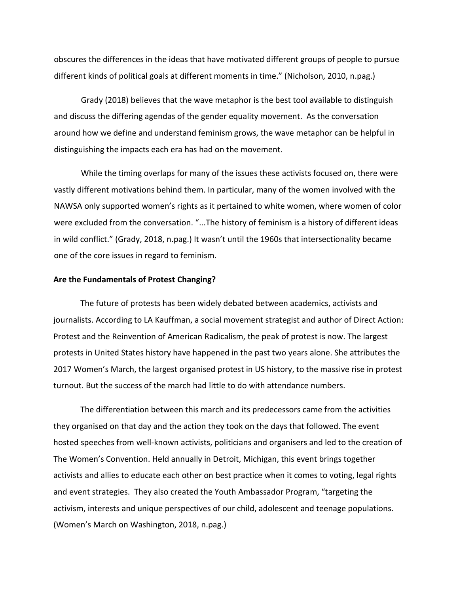obscures the differences in the ideas that have motivated different groups of people to pursue different kinds of political goals at different moments in time." (Nicholson, 2010, n.pag.)

Grady (2018) believes that the wave metaphor is the best tool available to distinguish and discuss the differing agendas of the gender equality movement. As the conversation around how we define and understand feminism grows, the wave metaphor can be helpful in distinguishing the impacts each era has had on the movement.

While the timing overlaps for many of the issues these activists focused on, there were vastly different motivations behind them. In particular, many of the women involved with the NAWSA only supported women's rights as it pertained to white women, where women of color were excluded from the conversation. "...The history of feminism is a history of different ideas in wild conflict." (Grady, 2018, n.pag.) It wasn't until the 1960s that intersectionality became one of the core issues in regard to feminism.

## **Are the Fundamentals of Protest Changing?**

The future of protests has been widely debated between academics, activists and journalists. According to LA Kauffman, a social movement strategist and author of Direct Action: Protest and the Reinvention of American Radicalism, the peak of protest is now. The largest protests in United States history have happened in the past two years alone. She attributes the 2017 Women's March, the largest organised protest in US history, to the massive rise in protest turnout. But the success of the march had little to do with attendance numbers.

The differentiation between this march and its predecessors came from the activities they organised on that day and the action they took on the days that followed. The event hosted speeches from well-known activists, politicians and organisers and led to the creation of The Women's Convention. Held annually in Detroit, Michigan, this event brings together activists and allies to educate each other on best practice when it comes to voting, legal rights and event strategies. They also created the Youth Ambassador Program, "targeting the activism, interests and unique perspectives of our child, adolescent and teenage populations. (Women's March on Washington, 2018, n.pag.)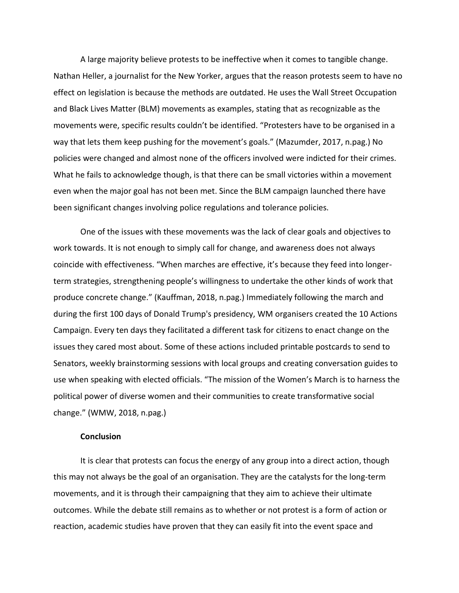A large majority believe protests to be ineffective when it comes to tangible change. Nathan Heller, a journalist for the New Yorker, argues that the reason protests seem to have no effect on legislation is because the methods are outdated. He uses the Wall Street Occupation and Black Lives Matter (BLM) movements as examples, stating that as recognizable as the movements were, specific results couldn't be identified. "Protesters have to be organised in a way that lets them keep pushing for the movement's goals." (Mazumder, 2017, n.pag.) No policies were changed and almost none of the officers involved were indicted for their crimes. What he fails to acknowledge though, is that there can be small victories within a movement even when the major goal has not been met. Since the BLM campaign launched there have been significant changes involving police regulations and tolerance policies.

One of the issues with these movements was the lack of clear goals and objectives to work towards. It is not enough to simply call for change, and awareness does not always coincide with effectiveness. "When marches are effective, it's because they feed into longerterm strategies, strengthening people's willingness to undertake the other kinds of work that produce concrete change." (Kauffman, 2018, n.pag.) Immediately following the march and during the first 100 days of Donald Trump's presidency, WM organisers created the 10 Actions Campaign. Every ten days they facilitated a different task for citizens to enact change on the issues they cared most about. Some of these actions included printable postcards to send to Senators, weekly brainstorming sessions with local groups and creating conversation guides to use when speaking with elected officials. "The mission of the Women's March is to harness the political power of diverse women and their communities to create transformative social change." (WMW, 2018, n.pag.)

## **Conclusion**

It is clear that protests can focus the energy of any group into a direct action, though this may not always be the goal of an organisation. They are the catalysts for the long-term movements, and it is through their campaigning that they aim to achieve their ultimate outcomes. While the debate still remains as to whether or not protest is a form of action or reaction, academic studies have proven that they can easily fit into the event space and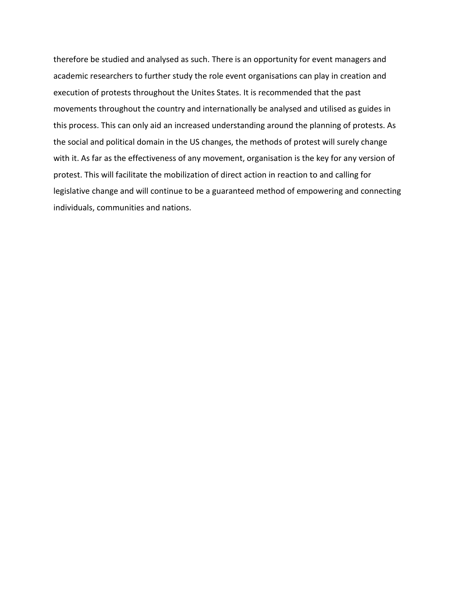therefore be studied and analysed as such. There is an opportunity for event managers and academic researchers to further study the role event organisations can play in creation and execution of protests throughout the Unites States. It is recommended that the past movements throughout the country and internationally be analysed and utilised as guides in this process. This can only aid an increased understanding around the planning of protests. As the social and political domain in the US changes, the methods of protest will surely change with it. As far as the effectiveness of any movement, organisation is the key for any version of protest. This will facilitate the mobilization of direct action in reaction to and calling for legislative change and will continue to be a guaranteed method of empowering and connecting individuals, communities and nations.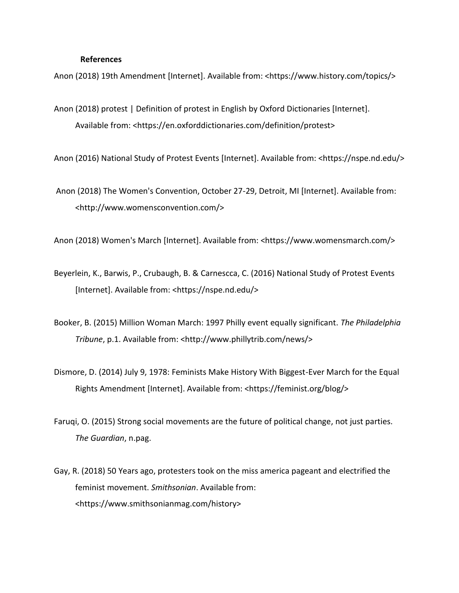### **References**

Anon (2018) 19th Amendment [Internet]. Available from: <https://www.history.com/topics/>

Anon (2018) protest | Definition of protest in English by Oxford Dictionaries [Internet]. Available from: <https://en.oxforddictionaries.com/definition/protest>

Anon (2016) National Study of Protest Events [Internet]. Available from: <https://nspe.nd.edu/>

Anon (2018) The Women's Convention, October 27-29, Detroit, MI [Internet]. Available from: <http://www.womensconvention.com/>

Anon (2018) Women's March [Internet]. Available from: <https://www.womensmarch.com/>

- Beyerlein, K., Barwis, P., Crubaugh, B. & Carnescca, C. (2016) National Study of Protest Events [Internet]. Available from: <https://nspe.nd.edu/>
- Booker, B. (2015) Million Woman March: 1997 Philly event equally significant. *The Philadelphia Tribune*, p.1. Available from: <http://www.phillytrib.com/news/>
- Dismore, D. (2014) July 9, 1978: Feminists Make History With Biggest-Ever March for the Equal Rights Amendment [Internet]. Available from: <https://feminist.org/blog/>
- Faruqi, O. (2015) Strong social movements are the future of political change, not just parties. *The Guardian*, n.pag.
- Gay, R. (2018) 50 Years ago, protesters took on the miss america pageant and electrified the feminist movement. *Smithsonian*. Available from: <https://www.smithsonianmag.com/history>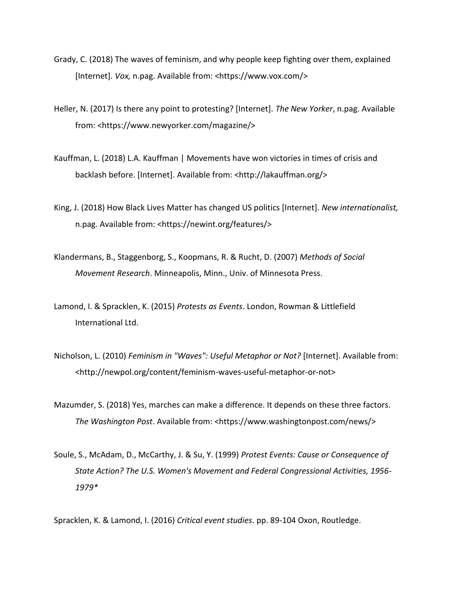- Grady, C. (2018) The waves of feminism, and why people keep fighting over them, explained [Internet]. *Vox,* n.pag. Available from: <https://www.vox.com/>
- Heller, N. (2017) Is there any point to protesting? [Internet]. *The New Yorker*, n.pag. Available from: <https://www.newyorker.com/magazine/>
- Kauffman, L. (2018) L.A. Kauffman | Movements have won victories in times of crisis and backlash before. [Internet]. Available from: <http://lakauffman.org/>
- King, J. (2018) How Black Lives Matter has changed US politics [Internet]. *New internationalist,* n.pag. Available from: <https://newint.org/features/>
- Klandermans, B., Staggenborg, S., Koopmans, R. & Rucht, D. (2007) *Methods of Social Movement Research*. Minneapolis, Minn., Univ. of Minnesota Press.
- Lamond, I. & Spracklen, K. (2015) *Protests as Events*. London, Rowman & Littlefield International Ltd.
- Nicholson, L. (2010) *Feminism in "Waves": Useful Metaphor or Not?* [Internet]. Available from: <http://newpol.org/content/feminism-waves-useful-metaphor-or-not>
- Mazumder, S. (2018) Yes, marches can make a difference. It depends on these three factors. *The Washington Post*. Available from: <https://www.washingtonpost.com/news/>
- Soule, S., McAdam, D., McCarthy, J. & Su, Y. (1999) *Protest Events: Cause or Consequence of State Action? The U.S. Women's Movement and Federal Congressional Activities, 1956- 1979\**

Spracklen, K. & Lamond, I. (2016) *Critical event studies*. pp. 89-104 Oxon, Routledge.